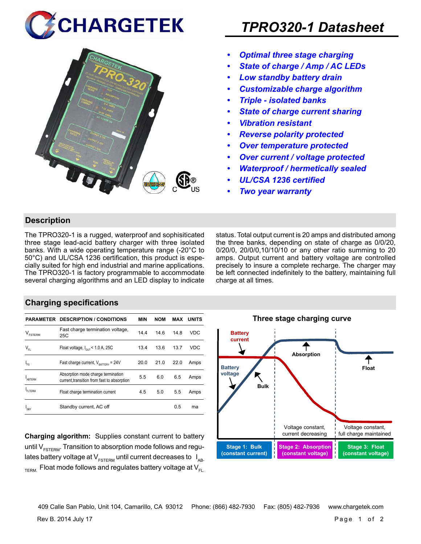



- *• Optimal three stage charging*
- *• State of charge / Amp / AC LEDs*
- *• Low standby battery drain*
- *• Customizable charge algorithm*
- *• Triple isolated banks*
- *• State of charge current sharing*
- *• Vibration resistant*
- *• Reverse polarity protected*
- *• Over temperature protected*
- *• Over current / voltage protected*
- *• Waterproof / hermetically sealed*
- *• UL/CSA 1236 certified*
- *• Two year warranty*

# **Description**

The TPRO320-1 is a rugged, waterproof and sophisiticated three stage lead-acid battery charger with three isolated banks. With a wide operating temperature range (-20°C to 50°C) and UL/CSA 1236 certification, this product is especially suited for high end industrial and marine applications. The TPRO320-1 is factory programmable to accommodate several charging algorithms and an LED display to indicate status. Total output current is 20 amps and distributed among the three banks, depending on state of charge as 0/0/20, 0/20/0, 20/0/0,10/10/10 or any other ratio summing to 20 amps. Output current and battery voltage are controlled precisely to insure a complete recharge. The charger may be left connected indefinitely to the battery, maintaining full charge at all times.

# **Charging specifications**

|                            | <b>PARAMETER DESCRIPTION / CONDITIONS</b>                                         | MIN  | <b>NOM</b> | MAX  | <b>UNITS</b> |
|----------------------------|-----------------------------------------------------------------------------------|------|------------|------|--------------|
| <b>FSTERM</b>              | Fast charge termination voltage,<br>25C                                           | 14.4 | 14.6       | 14.8 | <b>VDC</b>   |
| $\mathsf{V}_{\mathsf{FL}}$ | Float voltage, $I_{\text{diff}}$ < 1.0 A, 25C                                     | 13.4 | 13.6       | 13.7 | <b>VDC</b>   |
| 'FS                        | Fast charge current, $V_{\text{aarray}} = 24V$                                    | 20.0 | 21.0       | 22.0 | Amps         |
| <b>ARTERM</b>              | Absorption mode charge termination<br>current, transition from fast to absorption | 5.5  | 6.0        | 6.5  | Amps         |
| FI TFRM                    | Float charge termination current                                                  | 4.5  | 5.0        | 5.5  | Amps         |
| 'SBY                       | Standby current, AC off                                                           |      |            | 0.5  | ma           |

**Charging algorithm:** Supplies constant current to battery until  $V_{ESTFRM}$ . Transition to absorption mode follows and regulates battery voltage at  $V_{ESTERM}$  until current decreases to  $I_{AR}$  $T_{\text{ERM}}$  Float mode follows and regulates battery voltage at  $V_{\text{F1}}$ 



409 Calle San Pablo, Unit 104, Camarillo, CA 93012 Phone: (866) 482-7930 Fax: (805) 482-7936 www.chargetek.com

Rev B. 2014 July 17 Page 1 of 2